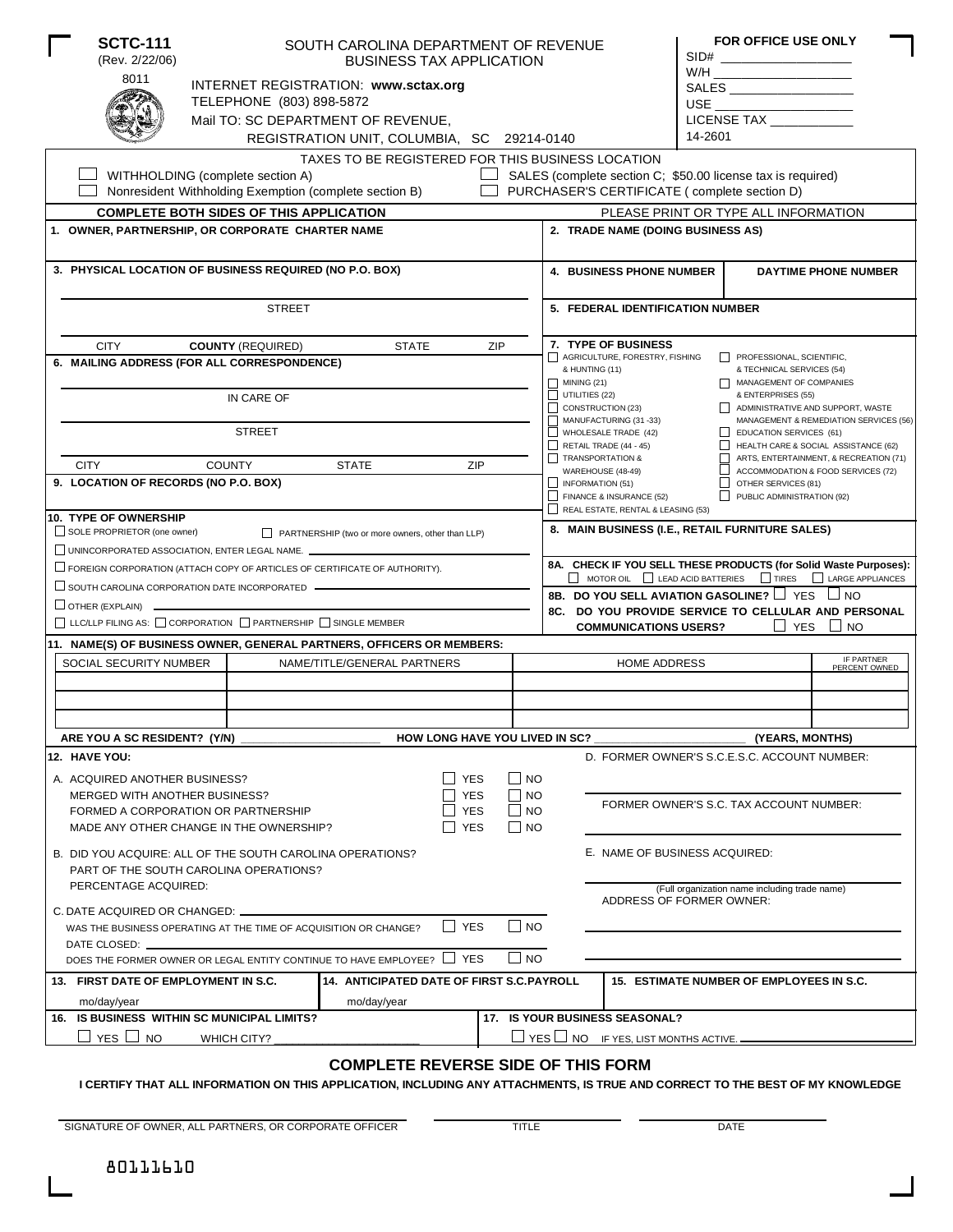|                                                                                                                                                   | <b>SCTC-111</b><br>(Rev. 2/22/06)                                            |                                                        | SOUTH CAROLINA DEPARTMENT OF REVENUE<br><b>BUSINESS TAX APPLICATION</b> |            |             |                                                                                                                                                                                                             |                                                                                  |         | <b>FOR OFFICE USE ONLY</b>               |                                                                              |  |
|---------------------------------------------------------------------------------------------------------------------------------------------------|------------------------------------------------------------------------------|--------------------------------------------------------|-------------------------------------------------------------------------|------------|-------------|-------------------------------------------------------------------------------------------------------------------------------------------------------------------------------------------------------------|----------------------------------------------------------------------------------|---------|------------------------------------------|------------------------------------------------------------------------------|--|
|                                                                                                                                                   | 8011                                                                         |                                                        | INTERNET REGISTRATION: www.sctax.org                                    |            |             |                                                                                                                                                                                                             |                                                                                  |         | W/H ____________________________         |                                                                              |  |
|                                                                                                                                                   |                                                                              | TELEPHONE (803) 898-5872                               |                                                                         |            |             |                                                                                                                                                                                                             |                                                                                  |         |                                          |                                                                              |  |
|                                                                                                                                                   |                                                                              |                                                        | Mail TO: SC DEPARTMENT OF REVENUE,                                      |            |             |                                                                                                                                                                                                             |                                                                                  |         | LICENSE TAX                              |                                                                              |  |
|                                                                                                                                                   |                                                                              |                                                        | REGISTRATION UNIT, COLUMBIA, SC 29214-0140                              |            |             |                                                                                                                                                                                                             |                                                                                  | 14-2601 |                                          |                                                                              |  |
|                                                                                                                                                   |                                                                              |                                                        | TAXES TO BE REGISTERED FOR THIS BUSINESS LOCATION                       |            |             |                                                                                                                                                                                                             |                                                                                  |         |                                          |                                                                              |  |
|                                                                                                                                                   |                                                                              | WITHHOLDING (complete section A)                       |                                                                         |            |             |                                                                                                                                                                                                             | SALES (complete section C; \$50.00 license tax is required)                      |         |                                          |                                                                              |  |
|                                                                                                                                                   |                                                                              | Nonresident Withholding Exemption (complete section B) |                                                                         |            |             |                                                                                                                                                                                                             | PURCHASER'S CERTIFICATE (complete section D)                                     |         |                                          |                                                                              |  |
|                                                                                                                                                   |                                                                              | <b>COMPLETE BOTH SIDES OF THIS APPLICATION</b>         |                                                                         |            |             |                                                                                                                                                                                                             |                                                                                  |         | PLEASE PRINT OR TYPE ALL INFORMATION     |                                                                              |  |
|                                                                                                                                                   | 1. OWNER, PARTNERSHIP, OR CORPORATE CHARTER NAME                             |                                                        |                                                                         |            |             |                                                                                                                                                                                                             | 2. TRADE NAME (DOING BUSINESS AS)                                                |         |                                          |                                                                              |  |
|                                                                                                                                                   | 3. PHYSICAL LOCATION OF BUSINESS REQUIRED (NO P.O. BOX)                      |                                                        |                                                                         |            |             |                                                                                                                                                                                                             | <b>4. BUSINESS PHONE NUMBER</b><br><b>DAYTIME PHONE NUMBER</b>                   |         |                                          |                                                                              |  |
|                                                                                                                                                   |                                                                              |                                                        |                                                                         |            |             |                                                                                                                                                                                                             | 5. FEDERAL IDENTIFICATION NUMBER                                                 |         |                                          |                                                                              |  |
|                                                                                                                                                   |                                                                              | <b>STREET</b>                                          |                                                                         |            |             |                                                                                                                                                                                                             |                                                                                  |         |                                          |                                                                              |  |
|                                                                                                                                                   | <b>CITY</b>                                                                  | <b>COUNTY (REQUIRED)</b>                               | <b>STATE</b>                                                            | ZIP        |             |                                                                                                                                                                                                             | 7. TYPE OF BUSINESS                                                              |         |                                          |                                                                              |  |
| 6. MAILING ADDRESS (FOR ALL CORRESPONDENCE)                                                                                                       |                                                                              |                                                        |                                                                         |            |             | AGRICULTURE, FORESTRY, FISHING<br>PROFESSIONAL, SCIENTIFIC,<br>& HUNTING (11)<br>& TECHNICAL SERVICES (54)                                                                                                  |                                                                                  |         |                                          |                                                                              |  |
|                                                                                                                                                   |                                                                              |                                                        |                                                                         |            |             | $\Box$ MINING (21)<br>MANAGEMENT OF COMPANIES<br>$\Box$ UTILITIES (22)                                                                                                                                      |                                                                                  |         |                                          |                                                                              |  |
|                                                                                                                                                   |                                                                              | IN CARE OF                                             |                                                                         |            |             | & ENTERPRISES (55)<br>$\Box$ CONSTRUCTION (23)<br>ADMINISTRATIVE AND SUPPORT, WASTE<br>MANUFACTURING (31-33)<br>MANAGEMENT & REMEDIATION SERVICES (56)<br>WHOLESALE TRADE $(42)$<br>EDUCATION SERVICES (61) |                                                                                  |         |                                          |                                                                              |  |
|                                                                                                                                                   |                                                                              | <b>STREET</b>                                          |                                                                         |            |             |                                                                                                                                                                                                             |                                                                                  |         |                                          |                                                                              |  |
|                                                                                                                                                   |                                                                              |                                                        |                                                                         |            |             |                                                                                                                                                                                                             | RETAIL TRADE (44 - 45)                                                           |         |                                          | HEALTH CARE & SOCIAL ASSISTANCE (62)                                         |  |
|                                                                                                                                                   | <b>CITY</b>                                                                  | <b>COUNTY</b>                                          | <b>STATE</b>                                                            | ZIP        |             |                                                                                                                                                                                                             | TRANSPORTATION &<br>WAREHOUSE (48-49)                                            | □       |                                          | ARTS, ENTERTAINMENT, & RECREATION (71)<br>ACCOMMODATION & FOOD SERVICES (72) |  |
|                                                                                                                                                   | 9. LOCATION OF RECORDS (NO P.O. BOX)                                         |                                                        |                                                                         |            |             | $\Box$ INFORMATION (51)                                                                                                                                                                                     |                                                                                  | ப       | OTHER SERVICES (81)                      |                                                                              |  |
|                                                                                                                                                   |                                                                              |                                                        |                                                                         |            |             |                                                                                                                                                                                                             | FINANCE & INSURANCE (52)<br>REAL ESTATE, RENTAL & LEASING (53)                   |         | PUBLIC ADMINISTRATION (92)               |                                                                              |  |
|                                                                                                                                                   | <b>10. TYPE OF OWNERSHIP</b>                                                 |                                                        |                                                                         |            |             |                                                                                                                                                                                                             | 8. MAIN BUSINESS (I.E., RETAIL FURNITURE SALES)                                  |         |                                          |                                                                              |  |
|                                                                                                                                                   | SOLE PROPRIETOR (one owner)<br>UNINCORPORATED ASSOCIATION, ENTER LEGAL NAME. |                                                        | PARTNERSHIP (two or more owners, other than LLP)                        |            |             |                                                                                                                                                                                                             |                                                                                  |         |                                          |                                                                              |  |
|                                                                                                                                                   |                                                                              |                                                        |                                                                         |            |             |                                                                                                                                                                                                             |                                                                                  |         |                                          | 8A. CHECK IF YOU SELL THESE PRODUCTS (for Solid Waste Purposes):             |  |
| $\Box$ FOREIGN CORPORATION (ATTACH COPY OF ARTICLES OF CERTIFICATE OF AUTHORITY).<br>$\Box$ SOUTH CAROLINA CORPORATION DATE INCORPORATED $\qquad$ |                                                                              |                                                        |                                                                         |            |             |                                                                                                                                                                                                             | $\Box$ MOTOR OIL $\Box$ LEAD ACID BATTERIES $\Box$ TIRES $\Box$ LARGE APPLIANCES |         |                                          |                                                                              |  |
| $\Box$ OTHER (EXPLAIN) $\Box$                                                                                                                     |                                                                              |                                                        |                                                                         |            |             |                                                                                                                                                                                                             | 8B. DO YOU SELL AVIATION GASOLINE? I YES INO                                     |         |                                          |                                                                              |  |
| $\Box$ LLC/LLP FILING AS: $\Box$ CORPORATION $\Box$ PARTNERSHIP $\Box$ SINGLE MEMBER                                                              |                                                                              |                                                        |                                                                         |            |             |                                                                                                                                                                                                             | <b>COMMUNICATIONS USERS?</b>                                                     |         | $\Box$ YES                               | 8C. DO YOU PROVIDE SERVICE TO CELLULAR AND PERSONAL<br>$\Box$ NO             |  |
|                                                                                                                                                   |                                                                              |                                                        | 11. NAME(S) OF BUSINESS OWNER, GENERAL PARTNERS, OFFICERS OR MEMBERS:   |            |             |                                                                                                                                                                                                             |                                                                                  |         |                                          |                                                                              |  |
|                                                                                                                                                   | SOCIAL SECURITY NUMBER                                                       |                                                        | NAME/TITLE/GENERAL PARTNERS                                             |            |             |                                                                                                                                                                                                             | <b>HOME ADDRESS</b>                                                              |         |                                          | IF PARTNER<br>PERCENT OWNED                                                  |  |
|                                                                                                                                                   |                                                                              |                                                        |                                                                         |            |             |                                                                                                                                                                                                             |                                                                                  |         |                                          |                                                                              |  |
|                                                                                                                                                   |                                                                              |                                                        |                                                                         |            |             |                                                                                                                                                                                                             |                                                                                  |         |                                          |                                                                              |  |
|                                                                                                                                                   |                                                                              |                                                        |                                                                         |            |             |                                                                                                                                                                                                             |                                                                                  |         |                                          |                                                                              |  |
|                                                                                                                                                   | ARE YOU A SC RESIDENT? (Y/N)                                                 |                                                        | <b>HOW LONG HAVE YOU LIVED IN SC?</b>                                   |            |             |                                                                                                                                                                                                             |                                                                                  |         | (YEARS, MONTHS)                          |                                                                              |  |
|                                                                                                                                                   | 12. HAVE YOU:                                                                |                                                        |                                                                         |            |             |                                                                                                                                                                                                             | D. FORMER OWNER'S S.C.E.S.C. ACCOUNT NUMBER:                                     |         |                                          |                                                                              |  |
|                                                                                                                                                   | A. ACQUIRED ANOTHER BUSINESS?                                                |                                                        |                                                                         | $\Box$ Yes | $\Box$ No   |                                                                                                                                                                                                             |                                                                                  |         |                                          |                                                                              |  |
|                                                                                                                                                   | MERGED WITH ANOTHER BUSINESS?                                                |                                                        |                                                                         | <b>YES</b> | ∣ NO        |                                                                                                                                                                                                             |                                                                                  |         |                                          |                                                                              |  |
|                                                                                                                                                   | FORMED A CORPORATION OR PARTNERSHIP                                          |                                                        |                                                                         | <b>YES</b> | $\Box$ No   |                                                                                                                                                                                                             |                                                                                  |         | FORMER OWNER'S S.C. TAX ACCOUNT NUMBER:  |                                                                              |  |
|                                                                                                                                                   | MADE ANY OTHER CHANGE IN THE OWNERSHIP?                                      |                                                        |                                                                         | <b>YES</b> | $\Box$ NO   |                                                                                                                                                                                                             |                                                                                  |         |                                          |                                                                              |  |
|                                                                                                                                                   | B. DID YOU ACQUIRE: ALL OF THE SOUTH CAROLINA OPERATIONS?                    |                                                        |                                                                         |            |             |                                                                                                                                                                                                             | E. NAME OF BUSINESS ACQUIRED:                                                    |         |                                          |                                                                              |  |
|                                                                                                                                                   | PART OF THE SOUTH CAROLINA OPERATIONS?                                       |                                                        |                                                                         |            |             |                                                                                                                                                                                                             |                                                                                  |         |                                          |                                                                              |  |
| PERCENTAGE ACQUIRED:                                                                                                                              |                                                                              |                                                        |                                                                         |            |             |                                                                                                                                                                                                             | (Full organization name including trade name)                                    |         |                                          |                                                                              |  |
| C. DATE ACQUIRED OR CHANGED: -                                                                                                                    |                                                                              |                                                        |                                                                         |            |             |                                                                                                                                                                                                             | ADDRESS OF FORMER OWNER:                                                         |         |                                          |                                                                              |  |
|                                                                                                                                                   | WAS THE BUSINESS OPERATING AT THE TIME OF ACQUISITION OR CHANGE?             | l I no                                                 |                                                                         |            |             |                                                                                                                                                                                                             |                                                                                  |         |                                          |                                                                              |  |
|                                                                                                                                                   | DATE CLOSED:                                                                 |                                                        |                                                                         |            |             |                                                                                                                                                                                                             |                                                                                  |         |                                          |                                                                              |  |
|                                                                                                                                                   |                                                                              |                                                        | DOES THE FORMER OWNER OR LEGAL ENTITY CONTINUE TO HAVE EMPLOYEE? L      | S YES      | $\sqcup$ NO |                                                                                                                                                                                                             |                                                                                  |         |                                          |                                                                              |  |
|                                                                                                                                                   | 13. FIRST DATE OF EMPLOYMENT IN S.C.                                         |                                                        | <b>14. ANTICIPATED DATE OF FIRST S.C.PAYROLL</b>                        |            |             |                                                                                                                                                                                                             |                                                                                  |         | 15. ESTIMATE NUMBER OF EMPLOYEES IN S.C. |                                                                              |  |
|                                                                                                                                                   | mo/day/year                                                                  |                                                        | mo/day/year                                                             |            |             |                                                                                                                                                                                                             |                                                                                  |         |                                          |                                                                              |  |
|                                                                                                                                                   | 16. IS BUSINESS WITHIN SC MUNICIPAL LIMITS?                                  |                                                        |                                                                         |            |             |                                                                                                                                                                                                             | 17. IS YOUR BUSINESS SEASONAL?                                                   |         |                                          |                                                                              |  |
|                                                                                                                                                   | $\Box$ YES $\Box$ NO                                                         | WHICH CITY?                                            |                                                                         |            |             |                                                                                                                                                                                                             | $\Box$ YES $\Box$ NO IF YES, LIST MONTHS ACTIVE.                                 |         |                                          |                                                                              |  |
|                                                                                                                                                   |                                                                              |                                                        | <b>COMPLETE REVERSE SIDE OF THIS FORM</b>                               |            |             |                                                                                                                                                                                                             |                                                                                  |         |                                          |                                                                              |  |

**I CERTIFY THAT ALL INFORMATION ON THIS APPLICATION, INCLUDING ANY ATTACHMENTS, IS TRUE AND CORRECT TO THE BEST OF MY KNOWLEDGE**

SIGNATURE OF OWNER, ALL PARTNERS, OR CORPORATE OFFICER TITLE TITLE THE DATE